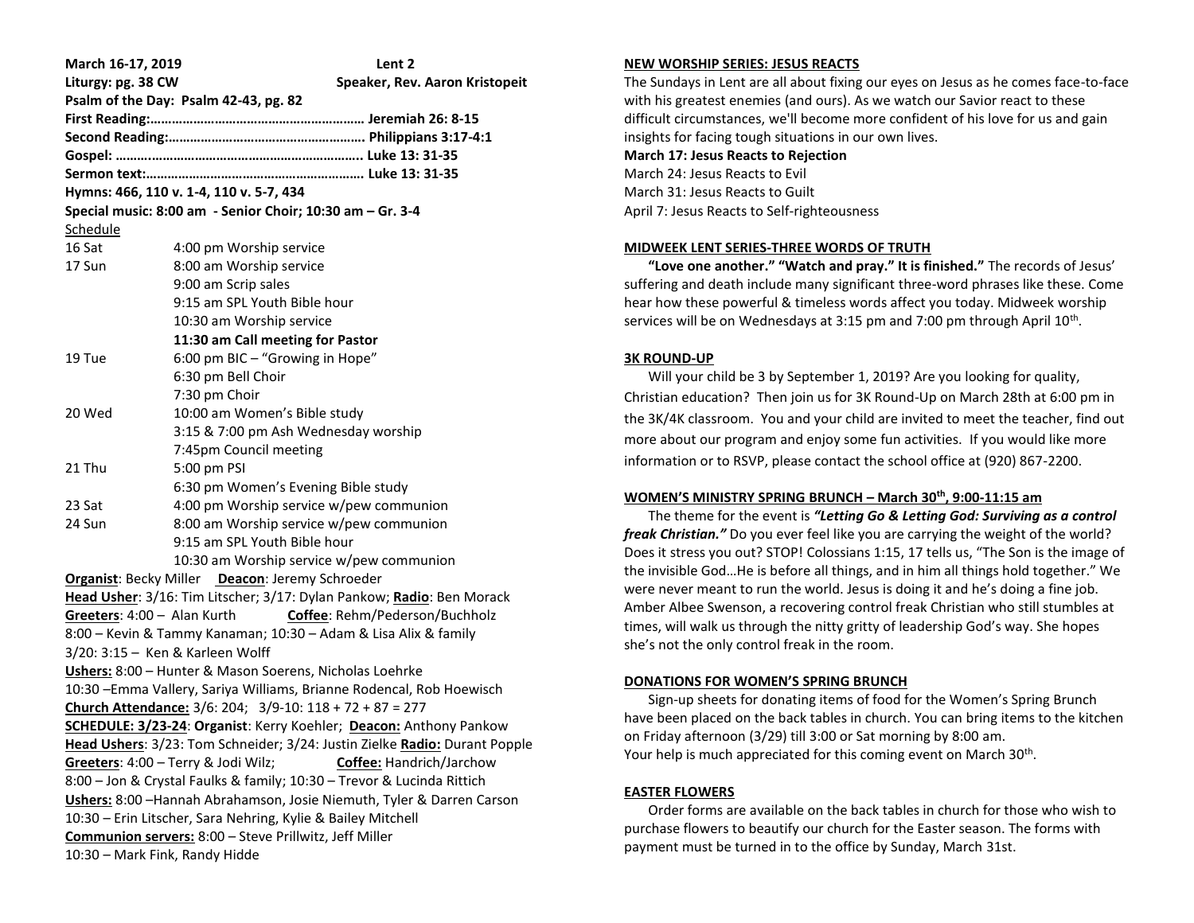| March 16-17, 2019                                                          | Lent 2                                                     |
|----------------------------------------------------------------------------|------------------------------------------------------------|
| Liturgy: pg. 38 CW                                                         | Speaker, Rev. Aaron Kristopeit                             |
| Psalm of the Day: Psalm 42-43, pg. 82                                      |                                                            |
|                                                                            |                                                            |
|                                                                            |                                                            |
|                                                                            |                                                            |
|                                                                            |                                                            |
| Hymns: 466, 110 v. 1-4, 110 v. 5-7, 434                                    |                                                            |
| Special music: 8:00 am - Senior Choir; 10:30 am - Gr. 3-4                  |                                                            |
| Schedule                                                                   |                                                            |
| 16 Sat                                                                     | 4:00 pm Worship service                                    |
| 17 Sun                                                                     | 8:00 am Worship service                                    |
|                                                                            | 9:00 am Scrip sales                                        |
|                                                                            | 9:15 am SPL Youth Bible hour                               |
|                                                                            | 10:30 am Worship service                                   |
|                                                                            | 11:30 am Call meeting for Pastor                           |
| 19 Tue                                                                     | 6:00 pm BIC - "Growing in Hope"                            |
|                                                                            | 6:30 pm Bell Choir                                         |
|                                                                            | 7:30 pm Choir                                              |
| 20 Wed                                                                     | 10:00 am Women's Bible study                               |
|                                                                            | 3:15 & 7:00 pm Ash Wednesday worship                       |
|                                                                            | 7:45pm Council meeting                                     |
| 21 Thu                                                                     | 5:00 pm PSI                                                |
|                                                                            | 6:30 pm Women's Evening Bible study                        |
| 23 Sat                                                                     | 4:00 pm Worship service w/pew communion                    |
| 24 Sun                                                                     | 8:00 am Worship service w/pew communion                    |
|                                                                            | 9:15 am SPL Youth Bible hour                               |
|                                                                            | 10:30 am Worship service w/pew communion                   |
| Organist: Becky Miller Deacon: Jeremy Schroeder                            |                                                            |
| Head Usher: 3/16: Tim Litscher; 3/17: Dylan Pankow; Radio: Ben Morack      |                                                            |
|                                                                            | Greeters: 4:00 - Alan Kurth Coffee: Rehm/Pederson/Buchholz |
| 8:00 - Kevin & Tammy Kanaman; 10:30 - Adam & Lisa Alix & family            |                                                            |
| 3/20: 3:15 - Ken & Karleen Wolff                                           |                                                            |
| Ushers: 8:00 - Hunter & Mason Soerens, Nicholas Loehrke                    |                                                            |
| 10:30 - Emma Vallery, Sariya Williams, Brianne Rodencal, Rob Hoewisch      |                                                            |
| Church Attendance: $3/6$ : 204; $3/9$ -10: 118 + 72 + 87 = 277             |                                                            |
| SCHEDULE: 3/23-24: Organist: Kerry Koehler; Deacon: Anthony Pankow         |                                                            |
| Head Ushers: 3/23: Tom Schneider; 3/24: Justin Zielke Radio: Durant Popple |                                                            |
| Greeters: 4:00 - Terry & Jodi Wilz;<br>Coffee: Handrich/Jarchow            |                                                            |
| 8:00 - Jon & Crystal Faulks & family; 10:30 - Trevor & Lucinda Rittich     |                                                            |
| Ushers: 8:00 - Hannah Abrahamson, Josie Niemuth, Tyler & Darren Carson     |                                                            |
| 10:30 - Erin Litscher, Sara Nehring, Kylie & Bailey Mitchell               |                                                            |
| Communion servers: 8:00 - Steve Prillwitz, Jeff Miller                     |                                                            |
| 10:30 - Mark Fink, Randy Hidde                                             |                                                            |

## **NEW WORSHIP SERIES: JESUS REACTS**

The Sundays in Lent are all about fixing our eyes on Jesus as he comes face-to-face with his greatest enemies (and ours). As we watch our Savior react to these difficult circumstances, we'll become more confident of his love for us and gain insights for facing tough situations in our own lives. **March 17: Jesus Reacts to Rejection** March 24: Jesus Reacts to Evil

March 31: Jesus Reacts to Guilt April 7: Jesus Reacts to Self-righteousness

#### **MIDWEEK LENT SERIES-THREE WORDS OF TRUTH**

 **"Love one another." "Watch and pray." It is finished."** The records of Jesus' suffering and death include many significant three-word phrases like these. Come hear how these powerful & timeless words affect you today. Midweek worship services will be on Wednesdays at 3:15 pm and 7:00 pm through April  $10^{\text{th}}$ .

### **3K ROUND-UP**

 Will your child be 3 by September 1, 2019? Are you looking for quality, Christian education? Then join us for 3K Round-Up on March 28th at 6:00 pm in the 3K/4K classroom. You and your child are invited to meet the teacher, find out more about our program and enjoy some fun activities. If you would like more information or to RSVP, please contact the school office at (920) 867-2200.

# **WOMEN'S MINISTRY SPRING BRUNCH – March 30th, 9:00-11:15 am**

 The theme for the event is *"Letting Go & Letting God: Surviving as a control freak Christian."* Do you ever feel like you are carrying the weight of the world? Does it stress you out? STOP! Colossians 1:15, 17 tells us, "The Son is the image of the invisible God…He is before all things, and in him all things hold together." We were never meant to run the world. Jesus is doing it and he's doing a fine job. Amber Albee Swenson, a recovering control freak Christian who still stumbles at times, will walk us through the nitty gritty of leadership God's way. She hopes she's not the only control freak in the room.

# **DONATIONS FOR WOMEN'S SPRING BRUNCH**

 Sign-up sheets for donating items of food for the Women's Spring Brunch have been placed on the back tables in church. You can bring items to the kitchen on Friday afternoon (3/29) till 3:00 or Sat morning by 8:00 am. Your help is much appreciated for this coming event on March 30<sup>th</sup>.

# **EASTER FLOWERS**

 Order forms are available on the back tables in church for those who wish to purchase flowers to beautify our church for the Easter season. The forms with payment must be turned in to the office by Sunday, March 31st.